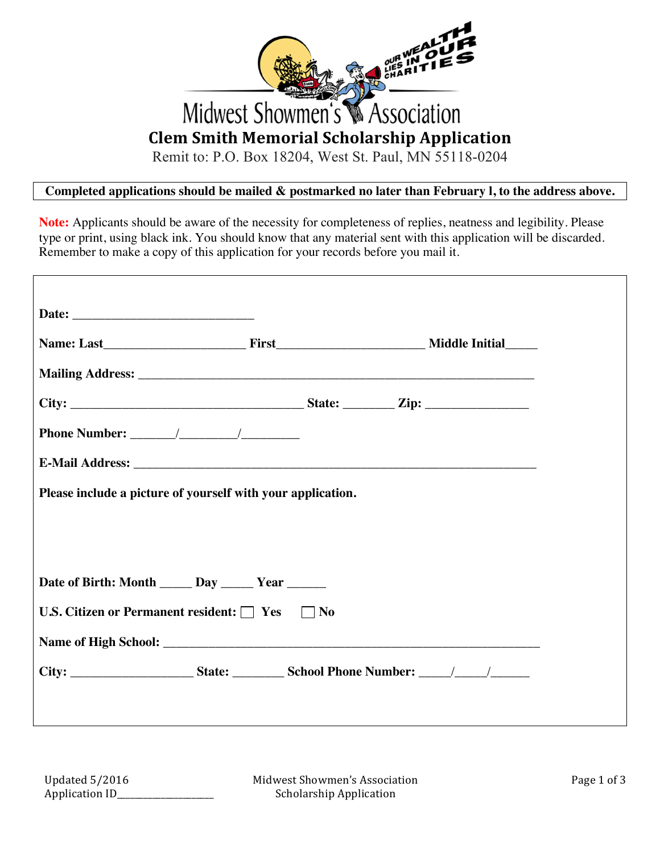

Remit to: P.O. Box 18204, West St. Paul, MN 55118-0204

# **Completed applications should be mailed & postmarked no later than February l, to the address above.**

**Note:** Applicants should be aware of the necessity for completeness of replies, neatness and legibility. Please type or print, using black ink. You should know that any material sent with this application will be discarded. Remember to make a copy of this application for your records before you mail it.

| Please include a picture of yourself with your application.                                          |  |
|------------------------------------------------------------------------------------------------------|--|
|                                                                                                      |  |
|                                                                                                      |  |
| Date of Birth: Month ______ Day ______ Year ______                                                   |  |
| U.S. Citizen or Permanent resident: Nes No                                                           |  |
|                                                                                                      |  |
| City: __________________________State: ____________School Phone Number: ______/______/______________ |  |
|                                                                                                      |  |
|                                                                                                      |  |

Midwest Showmen's Association Scholarship Application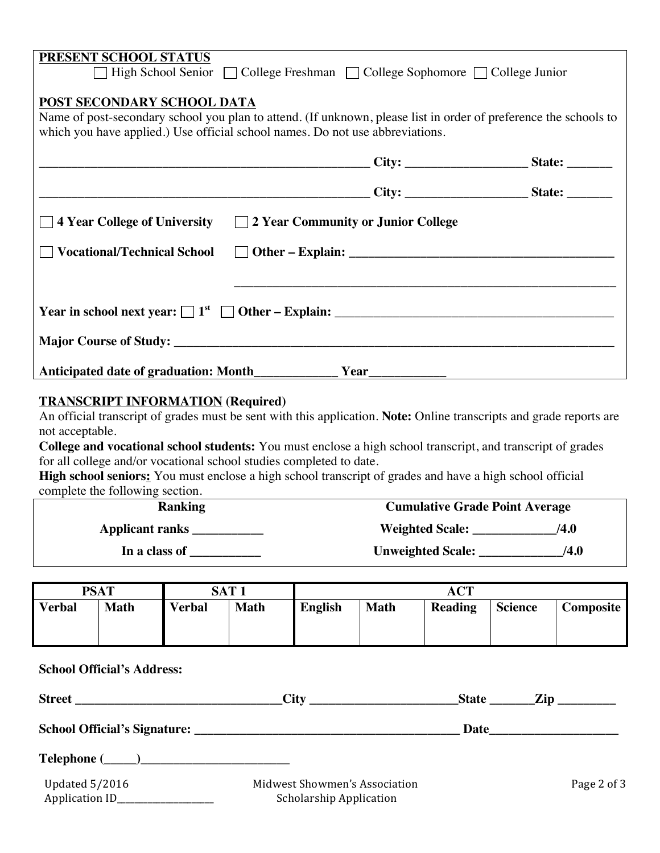| PRESENT SCHOOL STATUS                                                                                                                                                                                                           |  |  |
|---------------------------------------------------------------------------------------------------------------------------------------------------------------------------------------------------------------------------------|--|--|
| □ High School Senior □ College Freshman □ College Sophomore □ College Junior                                                                                                                                                    |  |  |
| POST SECONDARY SCHOOL DATA<br>Name of post-secondary school you plan to attend. (If unknown, please list in order of preference the schools to<br>which you have applied.) Use official school names. Do not use abbreviations. |  |  |
|                                                                                                                                                                                                                                 |  |  |
|                                                                                                                                                                                                                                 |  |  |
| $\Box$ 4 Year College of University $\Box$ 2 Year Community or Junior College                                                                                                                                                   |  |  |
|                                                                                                                                                                                                                                 |  |  |
|                                                                                                                                                                                                                                 |  |  |
|                                                                                                                                                                                                                                 |  |  |
|                                                                                                                                                                                                                                 |  |  |
|                                                                                                                                                                                                                                 |  |  |
|                                                                                                                                                                                                                                 |  |  |

### **TRANSCRIPT INFORMATION (Required)**

An official transcript of grades must be sent with this application. **Note:** Online transcripts and grade reports are not acceptable.

**College and vocational school students:** You must enclose a high school transcript, and transcript of grades for all college and/or vocational school studies completed to date.

**High school seniors:** You must enclose a high school transcript of grades and have a high school official complete the following section.

| Ranking         | <b>Cumulative Grade Point Average</b> |      |  |
|-----------------|---------------------------------------|------|--|
| Applicant ranks | <b>Weighted Scale:</b>                | /4.0 |  |
| In a class of   | <b>Unweighted Scale:</b>              | /4.0 |  |

| <b>PSAT</b>   |             | <b>SAT1</b>   |             | <b>ACT</b>     |             |                |                |           |
|---------------|-------------|---------------|-------------|----------------|-------------|----------------|----------------|-----------|
| <b>Verbal</b> | <b>Math</b> | <b>Verbal</b> | <b>Math</b> | <b>English</b> | <b>Math</b> | <b>Reading</b> | <b>Science</b> | Composite |

| <b>School Official's Address:</b>               |                                                                 |             |
|-------------------------------------------------|-----------------------------------------------------------------|-------------|
|                                                 |                                                                 |             |
|                                                 |                                                                 |             |
| $\text{Telephone} \ (\_\_)$                     |                                                                 |             |
| Updated 5/2016<br>Application ID_______________ | Midwest Showmen's Association<br><b>Scholarship Application</b> | Page 2 of 3 |